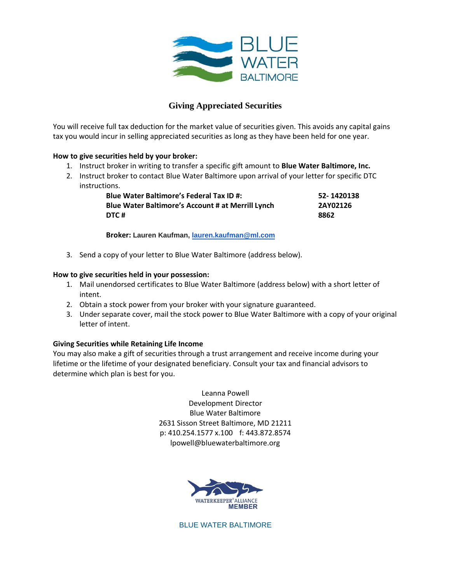

## **Giving Appreciated Securities**

You will receive full tax deduction for the market value of securities given. This avoids any capital gains tax you would incur in selling appreciated securities as long as they have been held for one year.

## **How to give securities held by your broker:**

- 1. Instruct broker in writing to transfer a specific gift amount to **Blue Water Baltimore, Inc.**
- 2. Instruct broker to contact Blue Water Baltimore upon arrival of your letter for specific DTC instructions.

| <b>Blue Water Baltimore's Federal Tax ID #:</b>   | 52-1420138 |
|---------------------------------------------------|------------|
| Blue Water Baltimore's Account # at Merrill Lynch | 2AY02126   |
| DTC#                                              | 8862       |

**Broker: Lauren Kaufman, [lauren.kaufman@ml.com](mailto:lauren.kaufman@ml.com)**

3. Send a copy of your letter to Blue Water Baltimore (address below).

## **How to give securities held in your possession:**

- 1. Mail unendorsed certificates to Blue Water Baltimore (address below) with a short letter of intent.
- 2. Obtain a stock power from your broker with your signature guaranteed.
- 3. Under separate cover, mail the stock power to Blue Water Baltimore with a copy of your original letter of intent.

## **Giving Securities while Retaining Life Income**

You may also make a gift of securities through a trust arrangement and receive income during your lifetime or the lifetime of your designated beneficiary. Consult your tax and financial advisors to determine which plan is best for you.

> Leanna Powell Development Director Blue Water Baltimore 2631 Sisson Street Baltimore, MD 21211 p: 410.254.1577 x.100 f: 443.872.8574 lpowell@bluewaterbaltimore.org



BLUE WATER BALTIMORE